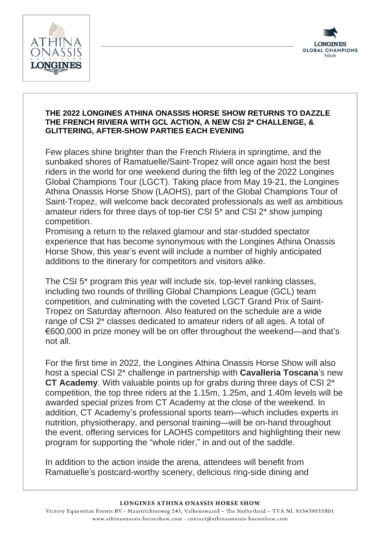



## **THE 2022 LONGINES ATHINA ONASSIS HORSE SHOW RETURNS TO DAZZLE THE FRENCH RIVIERA WITH GCL ACTION, A NEW CSI 2\* CHALLENGE, & GLITTERING, AFTER-SHOW PARTIES EACH EVENING**

Few places shine brighter than the French Riviera in springtime, and the sunbaked shores of Ramatuelle/Saint-Tropez will once again host the best riders in the world for one weekend during the fifth leg of the 2022 Longines Global Champions Tour (LGCT). Taking place from May 19-21, the Longines Athina Onassis Horse Show (LAOHS), part of the Global Champions Tour of Saint-Tropez, will welcome back decorated professionals as well as ambitious amateur riders for three days of top-tier CSI 5\* and CSI 2\* show jumping competition.

Promising a return to the relaxed glamour and star-studded spectator experience that has become synonymous with the Longines Athina Onassis Horse Show, this year's event will include a number of highly anticipated additions to the itinerary for competitors and visitors alike.

The CSI 5\* program this year will include six, top-level ranking classes, including two rounds of thrilling Global Champions League (GCL) team competition, and culminating with the coveted LGCT Grand Prix of Saint-Tropez on Saturday afternoon. Also featured on the schedule are a wide range of CSI 2\* classes dedicated to amateur riders of all ages. A total of €600,000 in prize money will be on offer throughout the weekend—and that's not all.

For the first time in 2022, the Longines Athina Onassis Horse Show will also host a special CSI 2\* challenge in partnership with **Cavalleria Toscana**'s new **CT Academy**. With valuable points up for grabs during three days of CSI 2\* competition, the top three riders at the 1.15m, 1.25m, and 1.40m levels will be awarded special prizes from CT Academy at the close of the weekend. In addition, CT Academy's professional sports team—which includes experts in nutrition, physiotherapy, and personal training—will be on-hand throughout the event, offering services for LAOHS competitors and highlighting their new program for supporting the "whole rider," in and out of the saddle.

In addition to the action inside the arena, attendees will benefit from Ramatuelle's postcard-worthy scenery, delicious ring-side dining and